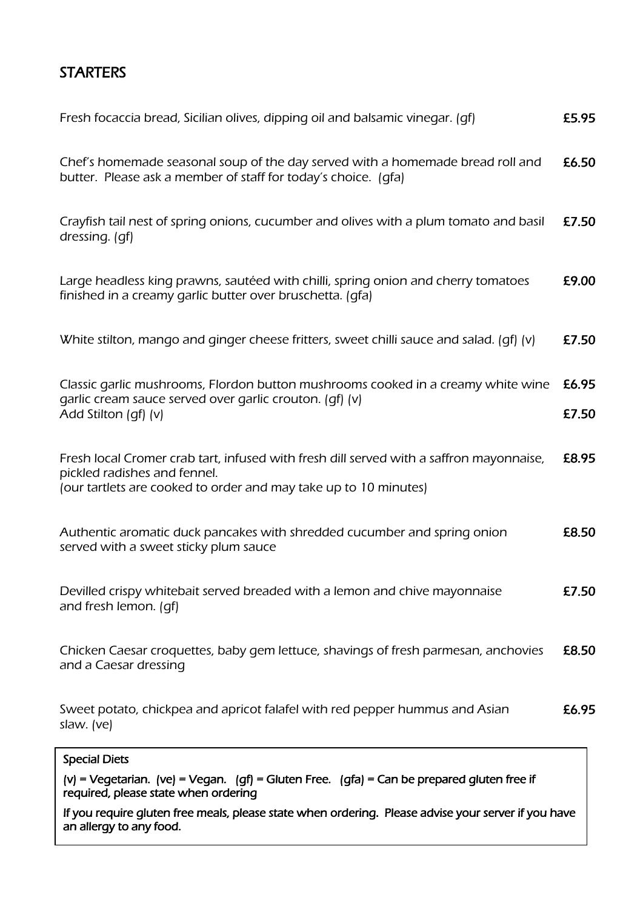# **STARTERS**

| If you require gluten free meals, please state when ordering. Please advise your server if you have<br>an allergy to any food.                                                              |                |
|---------------------------------------------------------------------------------------------------------------------------------------------------------------------------------------------|----------------|
| (v) = Vegetarian. (ve) = Vegan. (gf) = Gluten Free. (gfa) = Can be prepared gluten free if<br>required, please state when ordering                                                          |                |
| <b>Special Diets</b>                                                                                                                                                                        |                |
| Sweet potato, chickpea and apricot falafel with red pepper hummus and Asian<br>slaw. (ve)                                                                                                   | £6.95          |
| Chicken Caesar croquettes, baby gem lettuce, shavings of fresh parmesan, anchovies<br>and a Caesar dressing                                                                                 | £8.50          |
| Devilled crispy whitebait served breaded with a lemon and chive mayonnaise<br>and fresh lemon. (qf)                                                                                         | £7.50          |
| Authentic aromatic duck pancakes with shredded cucumber and spring onion<br>served with a sweet sticky plum sauce                                                                           | £8.50          |
| Fresh local Cromer crab tart, infused with fresh dill served with a saffron mayonnaise,<br>pickled radishes and fennel.<br>(our tartlets are cooked to order and may take up to 10 minutes) | £8.95          |
| Classic garlic mushrooms, Flordon button mushrooms cooked in a creamy white wine<br>garlic cream sauce served over garlic crouton. (qf) (v)<br>Add Stilton (qf) (v)                         | £6.95<br>£7.50 |
| White stilton, mango and ginger cheese fritters, sweet chilli sauce and salad. (qf) (v)                                                                                                     | £7.50          |
| Large headless king prawns, sautéed with chilli, spring onion and cherry tomatoes<br>finished in a creamy garlic butter over bruschetta. (gfa)                                              | £9.00          |
| Crayfish tail nest of spring onions, cucumber and olives with a plum tomato and basil<br>dressing. (gf)                                                                                     | £7.50          |
| Chef's homemade seasonal soup of the day served with a homemade bread roll and<br>butter. Please ask a member of staff for today's choice. (gfa)                                            | £6.50          |
| Fresh focaccia bread, Sicilian olives, dipping oil and balsamic vinegar. (qf)                                                                                                               | £5.95          |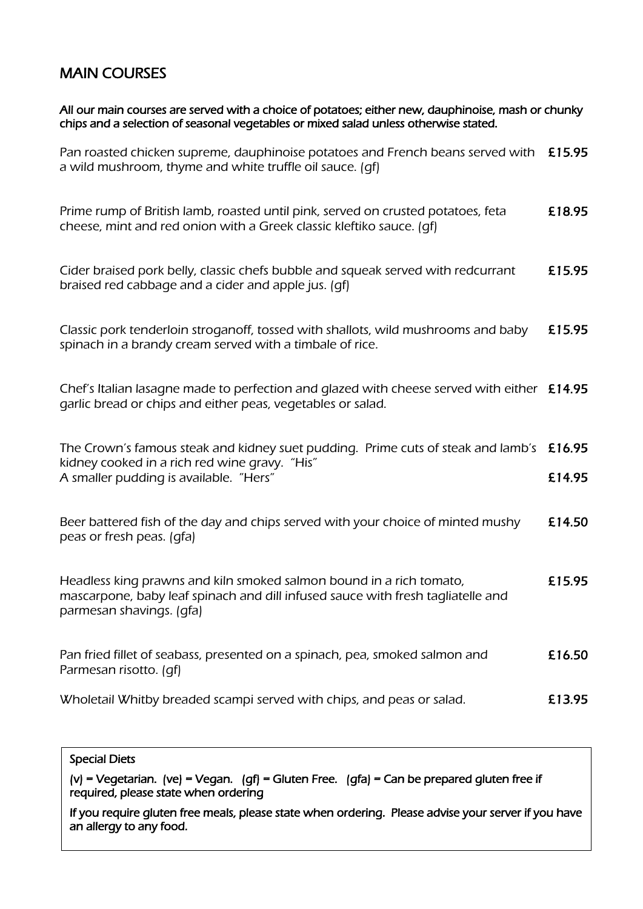### MAIN COURSES

All our main courses are served with a choice of potatoes; either new, dauphinoise, mash or chunky chips and a selection of seasonal vegetables or mixed salad unless otherwise stated.

Pan roasted chicken supreme, dauphinoise potatoes and French beans served with £15.95 a wild mushroom, thyme and white truffle oil sauce. (gf)

Prime rump of British lamb, roasted until pink, served on crusted potatoes, feta **£18.95** cheese, mint and red onion with a Greek classic kleftiko sauce. (gf)

Cider braised pork belly, classic chefs bubble and squeak served with redcurrant **E15.95** braised red cabbage and a cider and apple jus. (gf)

Classic pork tenderloin stroganoff, tossed with shallots, wild mushrooms and baby  $\epsilon$ 15.95 spinach in a brandy cream served with a timbale of rice.

Chef's Italian lasagne made to perfection and glazed with cheese served with either £14.95 garlic bread or chips and either peas, vegetables or salad.

| The Crown's famous steak and kidney suet pudding. Prime cuts of steak and lamb's £16.95 |        |
|-----------------------------------------------------------------------------------------|--------|
| kidney cooked in a rich red wine gravy. "His"                                           |        |
| A smaller pudding is available. "Hers"                                                  | £14.95 |

Beer battered fish of the day and chips served with your choice of minted mushy  $\pm 14.50$ peas or fresh peas. (gfa)

Headless king prawns and kiln smoked salmon bound in a rich tomato, £15.95 mascarpone, baby leaf spinach and dill infused sauce with fresh tagliatelle and parmesan shavings. (gfa)

Pan fried fillet of seabass, presented on a spinach, pea, smoked salmon and **£16.50** Parmesan risotto. (gf)

Wholetail Whitby breaded scampi served with chips, and peas or salad. **Ellect E13.95** 

#### Special Diets

(v) = Vegetarian. (ve) = Vegan. (gf) = Gluten Free. (gfa) = Can be prepared gluten free if required, please state when ordering

If you require gluten free meals, please state when ordering. Please advise your server if you have an allergy to any food.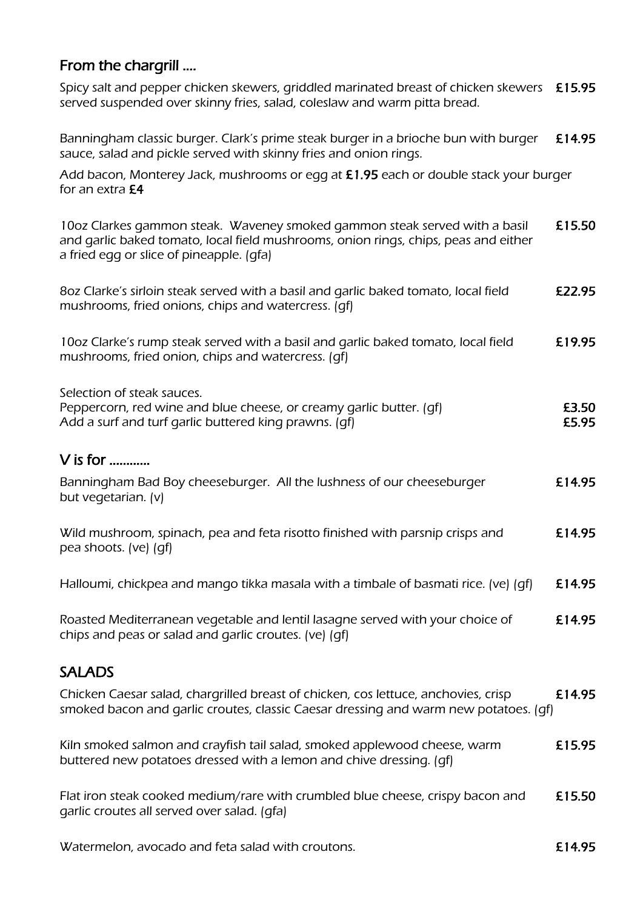## From the chargrill ….

Spicy salt and pepper chicken skewers, griddled marinated breast of chicken skewers £15.95 served suspended over skinny fries, salad, coleslaw and warm pitta bread.

Banningham classic burger. Clark's prime steak burger in a brioche bun with burger £14.95 sauce, salad and pickle served with skinny fries and onion rings.

Add bacon, Monterey Jack, mushrooms or egg at £1.95 each or double stack your burger for an extra £4

| 10oz Clarkes gammon steak. Waveney smoked gammon steak served with a basil<br>and garlic baked tomato, local field mushrooms, onion rings, chips, peas and either<br>a fried egg or slice of pineapple. (gfa) | £15.50         |
|---------------------------------------------------------------------------------------------------------------------------------------------------------------------------------------------------------------|----------------|
| 8oz Clarke's sirloin steak served with a basil and garlic baked tomato, local field<br>mushrooms, fried onions, chips and watercress. (qf)                                                                    | £22.95         |
| 10oz Clarke's rump steak served with a basil and garlic baked tomato, local field<br>mushrooms, fried onion, chips and watercress. (qf)                                                                       | £19.95         |
| Selection of steak sauces.<br>Peppercorn, red wine and blue cheese, or creamy garlic butter. (qf)<br>Add a surf and turf garlic buttered king prawns. (gf)                                                    | £3.50<br>£5.95 |
| $V$ is for                                                                                                                                                                                                    |                |
| Banningham Bad Boy cheeseburger. All the lushness of our cheeseburger<br>but vegetarian. (v)                                                                                                                  | £14.95         |
| Wild mushroom, spinach, pea and feta risotto finished with parsnip crisps and<br>pea shoots. (ve) (qf)                                                                                                        | £14.95         |
| Halloumi, chickpea and mango tikka masala with a timbale of basmati rice. (ve) (gf)                                                                                                                           | £14.95         |
| Roasted Mediterranean vegetable and lentil lasagne served with your choice of<br>chips and peas or salad and garlic croutes. (ve) (gf)                                                                        | £14.95         |
| <b>SALADS</b>                                                                                                                                                                                                 |                |
| Chicken Caesar salad, chargrilled breast of chicken, cos lettuce, anchovies, crisp<br>smoked bacon and garlic croutes, classic Caesar dressing and warm new potatoes. (gf)                                    | £14.95         |
| Kiln smoked salmon and crayfish tail salad, smoked applewood cheese, warm<br>buttered new potatoes dressed with a lemon and chive dressing. (qf)                                                              | £15.95         |
| Flat iron steak cooked medium/rare with crumbled blue cheese, crispy bacon and<br>garlic croutes all served over salad. (gfa)                                                                                 | £15.50         |

Watermelon, avocado and feta salad with croutons. **Elections** 614.95